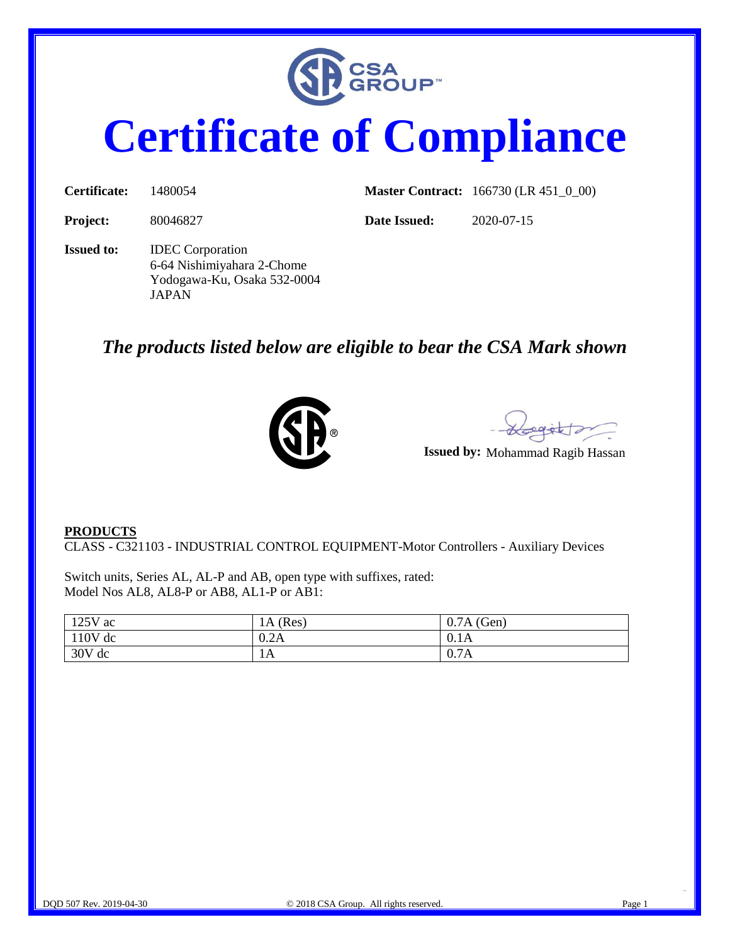

## **Certificate of Compliance**

| <b>Certificate:</b> | 1480054                                                                                       |              | <b>Master Contract:</b> 166730 (LR 451_0_00) |
|---------------------|-----------------------------------------------------------------------------------------------|--------------|----------------------------------------------|
| <b>Project:</b>     | 80046827                                                                                      | Date Issued: | 2020-07-15                                   |
| <b>Issued to:</b>   | <b>IDEC</b> Corporation<br>6-64 Nishimiyahara 2-Chome<br>Yodogawa-Ku, Osaka 532-0004<br>JAPAN |              |                                              |

## *The products listed below are eligible to bear the CSA Mark shown*



egètta

**Issued by:** Mohammad Ragib Hassan

## **PRODUCTS**

CLASS - C321103 - INDUSTRIAL CONTROL EQUIPMENT-Motor Controllers - Auxiliary Devices

Switch units, Series AL, AL-P and AB, open type with suffixes, rated: Model Nos AL8, AL8-P or AB8, AL1-P or AB1:

| $125V$ ac | (Res)<br>1A ( | $0.7A$ (Gen) |
|-----------|---------------|--------------|
| $110V$ dc | 0.2A          | 0.1A         |
| 30V dc    | 1A            | 0.7A         |